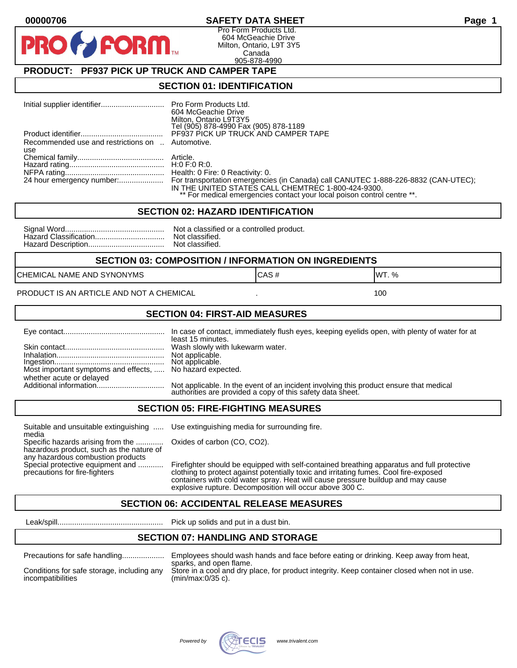### **00000706 SAFETY DATA SHEET Page 1**

Pro Form Products Ltd. 604 McGeachie Drive Milton, Ontario, L9T 3Y5 Canada 905-878-4990

## **PRODUCT: PF937 PICK UP TRUCK AND CAMPER TAPE**

**FORM.** 

#### **SECTION 01: IDENTIFICATION**

|                                                         | 604 McGeachie Drive<br>Milton, Ontario L9T3Y5<br>Tel (905) 878-4990 Fax (905) 878-1189                                                                                                                                                        |
|---------------------------------------------------------|-----------------------------------------------------------------------------------------------------------------------------------------------------------------------------------------------------------------------------------------------|
|                                                         | PF937 PICK UP TRUCK AND CAMPER TAPE                                                                                                                                                                                                           |
| Recommended use and restrictions on  Automotive.<br>use |                                                                                                                                                                                                                                               |
|                                                         |                                                                                                                                                                                                                                               |
|                                                         |                                                                                                                                                                                                                                               |
|                                                         |                                                                                                                                                                                                                                               |
|                                                         | 24 hour emergency number: For transportation emergencies (in Canada) call CANUTEC 1-888-226-8832 (CAN-UTEC);<br>IN THE UNITED STATES CALL CHEMTREC 1-800-424-9300.<br>** For medical emergencies contact your local poison control centre **. |

#### **SECTION 02: HAZARD IDENTIFICATION**

| No |
|----|
| No |
| No |

ot a classified or a controlled product. ot classified. ot classified.

#### **SECTION 03: COMPOSITION / INFORMATION ON INGREDIENTS**

CHEMICAL NAME AND SYNONYMS GAS AND CAS # CAS # WT. %

PRODUCT IS AN ARTICLE AND NOT A CHEMICAL **AND THE SET AND A SET ALL ASSAULT** 100

#### **SECTION 04: FIRST-AID MEASURES**

|                                                                                       | In case of contact, immediately flush eyes, keeping eyelids open, with plenty of water for at<br>least 15 minutes.                                   |
|---------------------------------------------------------------------------------------|------------------------------------------------------------------------------------------------------------------------------------------------------|
|                                                                                       |                                                                                                                                                      |
| Most important symptoms and effects,  No hazard expected.<br>whether acute or delayed |                                                                                                                                                      |
|                                                                                       | Not applicable. In the event of an incident involving this product ensure that medical<br>authorities are provided a copy of this safety data sheet. |

#### **SECTION 05: FIRE-FIGHTING MEASURES**

Suitable and unsuitable extinguishing ..... Use extinguishing media for surrounding fire. media

Specific hazards arising from the ............. Oxides of carbon (CO, CO2). hazardous product, such as the nature of any hazardous combustion products

Special protective equipment and ............ Firefighter should be equipped with self-contained breathing apparatus and full protective<br>precautions for fire-fighters continent clothing to protect against potentially toxic clothing to protect against potentially toxic and irritating fumes. Cool fire-exposed containers with cold water spray. Heat will cause pressure buildup and may cause explosive rupture. Decomposition will occur above 300 C.

## **SECTION 06: ACCIDENTAL RELEASE MEASURES**

Leak/spill.................................................. Pick up solids and put in a dust bin.

## **SECTION 07: HANDLING AND STORAGE**

| Precautions for safe handling |  |  |
|-------------------------------|--|--|
|                               |  |  |

incompatibilities (min/max:0/35 c).

Precautions for safe handling.................... Employees should wash hands and face before eating or drinking. Keep away from heat, sparks, and open flame. Conditions for safe storage, including any Store in a cool and dry place, for product integrity. Keep container closed when not in use.

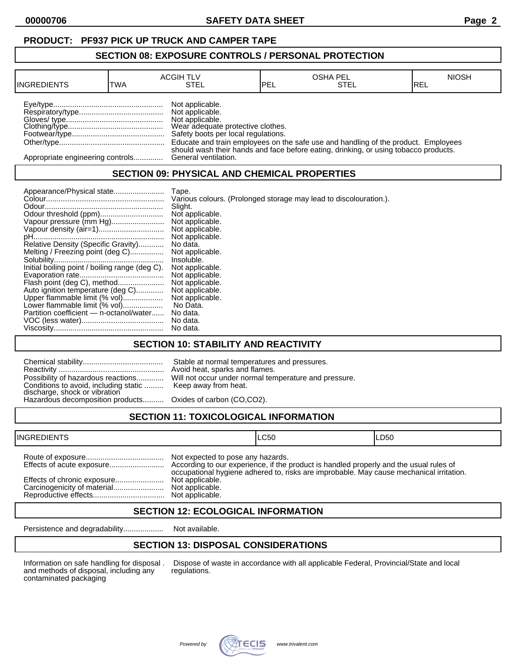## **PRODUCT: PF937 PICK UP TRUCK AND CAMPER TAPE**

#### **SECTION 08: EXPOSURE CONTROLS / PERSONAL PROTECTION**

| <b>INGREDIENTS</b>               | TWA | <b>ACGIH TLV</b><br>STEL                                                                                                          | IPEL | <b>OSHA PEL</b><br>STEL                                                                                                                                                    | <b>NIOSH</b><br>IREL |
|----------------------------------|-----|-----------------------------------------------------------------------------------------------------------------------------------|------|----------------------------------------------------------------------------------------------------------------------------------------------------------------------------|----------------------|
|                                  |     | Not applicable.<br>Not applicable.<br>Not applicable.<br>Wear adequate protective clothes.<br>Safety boots per local regulations. |      | Educate and train employees on the safe use and handling of the product. Employees<br>should wash their hands and face before eating, drinking, or using tobacco products. |                      |
| Appropriate engineering controls |     | General ventilation.                                                                                                              |      |                                                                                                                                                                            |                      |

## **SECTION 09: PHYSICAL AND CHEMICAL PROPERTIES**

| Appearance/Physical state                      | Tape.                                                             |
|------------------------------------------------|-------------------------------------------------------------------|
|                                                | Various colours. (Prolonged storage may lead to discolouration.). |
|                                                | Slight.                                                           |
|                                                | Not applicable.                                                   |
| Vapour pressure (mm Hg)                        | Not applicable.                                                   |
|                                                | Not applicable.                                                   |
|                                                | Not applicable.                                                   |
| Relative Density (Specific Gravity)            | No data.                                                          |
| Melting / Freezing point (deg C)               | Not applicable.                                                   |
|                                                | Insoluble.                                                        |
| Initial boiling point / boiling range (deg C). | Not applicable.                                                   |
|                                                | Not applicable.                                                   |
| Flash point (deg C), method                    | Not applicable.                                                   |
| Auto ignition temperature (deg C)              | Not applicable.                                                   |
| Upper flammable limit (% vol)                  | Not applicable.                                                   |
| Lower flammable limit (% vol)                  | No Data.                                                          |
| Partition coefficient - n-octanol/water        | No data.                                                          |
|                                                | No data.                                                          |
|                                                | No data.                                                          |

## **SECTION 10: STABILITY AND REACTIVITY**

| Conditions to avoid, including static  Keep away from heat.<br>discharge, shock or vibration<br>Hazardous decomposition products Oxides of carbon (CO,CO2). | Stable at normal temperatures and pressures.<br>Avoid heat, sparks and flames.<br>Possibility of hazardous reactions Will not occur under normal temperature and pressure. |
|-------------------------------------------------------------------------------------------------------------------------------------------------------------|----------------------------------------------------------------------------------------------------------------------------------------------------------------------------|
|                                                                                                                                                             |                                                                                                                                                                            |

# **SECTION 11: TOXICOLOGICAL INFORMATION**

| <b>INGREDIENTS</b>          |                                                                         | ILC50                                                                                   | ILD50 |
|-----------------------------|-------------------------------------------------------------------------|-----------------------------------------------------------------------------------------|-------|
| Effects of chronic exposure | Not expected to pose any hazards.<br>Not applicable.<br>Not applicable. | occupational hygiene adhered to, risks are improbable. May cause mechanical irritation. |       |

## **SECTION 12: ECOLOGICAL INFORMATION**

Persistence and degradability................... Not available.

## **SECTION 13: DISPOSAL CONSIDERATIONS**

and methods of disposal, including any contaminated packaging

Information on safe handling for disposal . Dispose of waste in accordance with all applicable Federal, Provincial/State and local